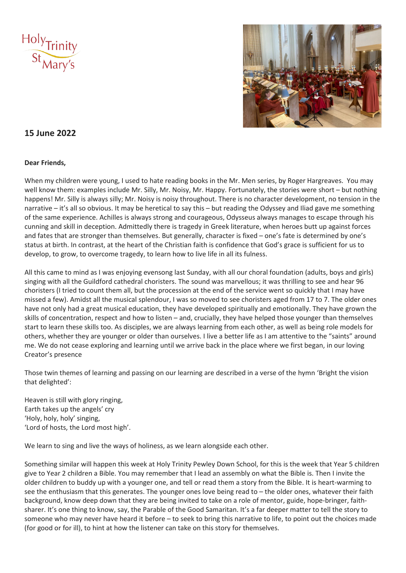



# **15 June 2022**

# **Dear Friends,**

When my children were young, I used to hate reading books in the Mr. Men series, by Roger Hargreaves. You may well know them: examples include Mr. Silly, Mr. Noisy, Mr. Happy. Fortunately, the stories were short – but nothing happens! Mr. Silly is always silly; Mr. Noisy is noisy throughout. There is no character development, no tension in the narrative – it's all so obvious. It may be heretical to say this – but reading the Odyssey and Iliad gave me something of the same experience. Achilles is always strong and courageous, Odysseus always manages to escape through his cunning and skill in deception. Admittedly there is tragedy in Greek literature, when heroes butt up against forces and fates that are stronger than themselves. But generally, character is fixed – one's fate is determined by one's status at birth. In contrast, at the heart of the Christian faith is confidence that God's grace is sufficient for us to develop, to grow, to overcome tragedy, to learn how to live life in all its fulness.

All this came to mind as I was enjoying evensong last Sunday, with all our choral foundation (adults, boys and girls) singing with all the Guildford cathedral choristers. The sound was marvellous; it was thrilling to see and hear 96 choristers (I tried to count them all, but the procession at the end of the service went so quickly that I may have missed a few). Amidst all the musical splendour, I was so moved to see choristers aged from 17 to 7. The older ones have not only had a great musical education, they have developed spiritually and emotionally. They have grown the skills of concentration, respect and how to listen – and, crucially, they have helped those younger than themselves start to learn these skills too. As disciples, we are always learning from each other, as well as being role models for others, whether they are younger or older than ourselves. I live a better life as I am attentive to the "saints" around me. We do not cease exploring and learning until we arrive back in the place where we first began, in our loving Creator's presence

Those twin themes of learning and passing on our learning are described in a verse of the hymn 'Bright the vision that delighted':

Heaven is still with glory ringing, Earth takes up the angels' cry 'Holy, holy, holy' singing, 'Lord of hosts, the Lord most high'.

We learn to sing and live the ways of holiness, as we learn alongside each other.

Something similar will happen this week at Holy Trinity Pewley Down School, for this is the week that Year 5 children give to Year 2 children a Bible. You may remember that I lead an assembly on what the Bible is. Then I invite the older children to buddy up with a younger one, and tell or read them a story from the Bible. It is heart-warming to see the enthusiasm that this generates. The younger ones love being read to – the older ones, whatever their faith background, know deep down that they are being invited to take on a role of mentor, guide, hope-bringer, faithsharer. It's one thing to know, say, the Parable of the Good Samaritan. It's a far deeper matter to tell the story to someone who may never have heard it before – to seek to bring this narrative to life, to point out the choices made (for good or for ill), to hint at how the listener can take on this story for themselves.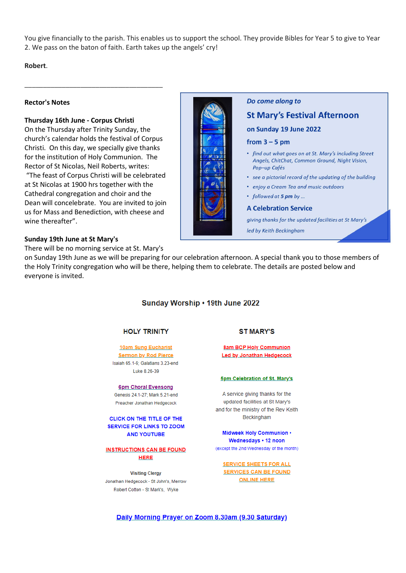You give financially to the parish. This enables us to support the school. They provide Bibles for Year 5 to give to Year 2. We pass on the baton of faith. Earth takes up the angels' cry!

**Robert**.

#### **Rector's Notes**

## **Thursday 16th June - Corpus Christi**

On the Thursday after Trinity Sunday, the church's calendar holds the festival of Corpus Christi. On this day, we specially give thanks for the institution of Holy Communion. The Rector of St Nicolas, Neil Roberts, writes: "The feast of Corpus Christi will be celebrated at St Nicolas at 1900 hrs together with the Cathedral congregation and choir and the Dean will concelebrate. You are invited to join us for Mass and Benediction, with cheese and wine thereafter".

\_\_\_\_\_\_\_\_\_\_\_\_\_\_\_\_\_\_\_\_\_\_\_\_\_\_\_\_\_\_\_\_\_\_\_\_\_



## Do come along to

# **St Mary's Festival Afternoon**

on Sunday 19 June 2022

### from  $3 - 5$  pm

- find out what goes on at St. Mary's including Street Angels, ChitChat, Common Ground, Night Vision, Pop-up Cafés
- see a pictorial record of the updating of the building
- · enjoy a Cream Tea and music outdoors
- followed at 5 pm by ...

#### **A Celebration Service**

giving thanks for the updated facilities at St Mary's led by Keith Beckingham

#### **Sunday 19th June at St Mary's**

There will be no morning service at St. Mary's

on Sunday 19th June as we will be preparing for our celebration afternoon. A special thank you to those members of the Holy Trinity congregation who will be there, helping them to celebrate. The details are posted below and everyone is invited.

## Sunday Worship . 19th June 2022

### **HOLY TRINITY**

10am Sung Eucharist **Sermon by Rod Pierce** Isaiah 65.1-9; Galatians 3.23-end Luke 8.26-39

6pm Choral Evensong Genesis 24.1-27; Mark 5.21-end Preacher Jonathan Hedgecock

CLICK ON THE TITLE OF THE **SERVICE FOR LINKS TO ZOOM AND YOUTUBE** 

**INSTRUCTIONS CAN BE FOUND HERE** 

**Visiting Clergy** Jonathan Hedgecock - St John's, Merrow Robert Cotton - St Mark's, Wyke

### **ST MARY'S**

**8am BCP Holy Communion Led by Jonathan Hedgecock** 

#### 5pm Celebration of St. Mary's

A service giving thanks for the updated facilities at St Mary's and for the ministry of the Rev Keith Beckingham

Midweek Holy Communion . Wednesdays . 12 noon (except the 2nd Wednesday of the month)

**SERVICE SHEETS FOR ALL SERVICES CAN BE FOUND ONLINE HERE** 

Daily Morning Prayer on Zoom 8.30am (9.30 Saturday)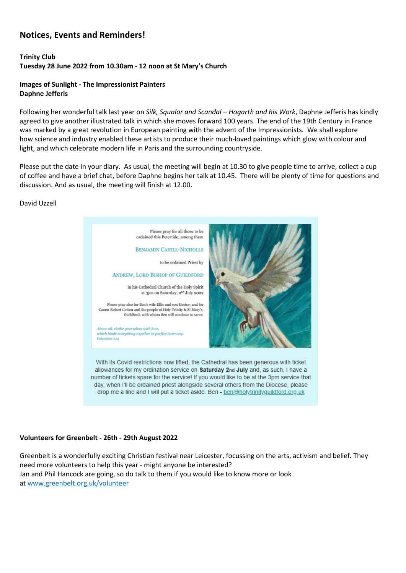# **Notices, Events and Reminders!**

# **Trinity Club Tuesday 28 June 2022 from 10.30am - 12 noon at St Mary's Church**

# **Images of Sunlight - The Impressionist Painters Daphne Jefferis**

Following her wonderful talk last year on *Silk, Squalor and Scandal – Hogarth and his Work*, Daphne Jefferis has kindly agreed to give another illustrated talk in which she moves forward 100 years. The end of the 19th Century in France was marked by a great revolution in European painting with the advent of the Impressionists. We shall explore how science and industry enabled these artists to produce their much-loved paintings which glow with colour and light, and which celebrate modern life in Paris and the surrounding countryside.

Please put the date in your diary. As usual, the meeting will begin at 10.30 to give people time to arrive, collect a cup of coffee and have a brief chat, before Daphne begins her talk at 10.45. There will be plenty of time for questions and discussion. And as usual, the meeting will finish at 12.00.

## David Uzzell



# **Volunteers for Greenbelt - 26th - 29th August 2022**

Greenbelt is a wonderfully exciting Christian festival near Leicester, focussing on the arts, activism and belief. They need more volunteers to help this year - might anyone be interested? Jan and Phil Hancock are going, so do talk to them if you would like to know more or look at [www.greenbelt.org.uk/volunteer](http://www.greenbelt.org.uk/volunteer)